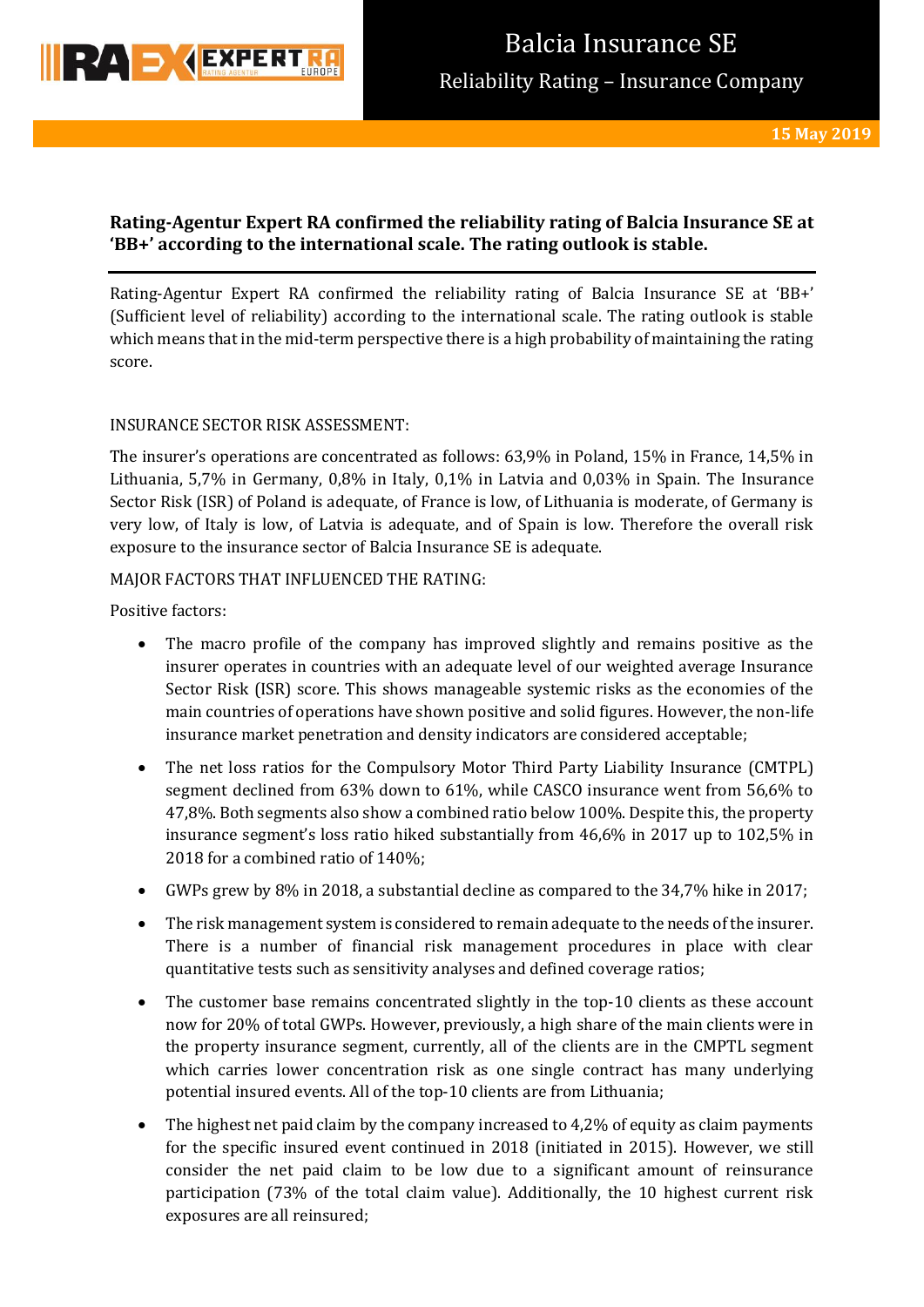

# **Rating-Agentur Expert RA confirmed the reliability rating of Balcia Insurance SE at 'BB+' according to the international scale. The rating outlook is stable.**

Rating-Agentur Expert RA confirmed the reliability rating of Balcia Insurance SE at 'BB+' (Sufficient level of reliability) according to the international scale. The rating outlook is stable which means that in the mid-term perspective there is a high probability of maintaining the rating score.

# INSURANCE SECTOR RISK ASSESSMENT:

The insurer's operations are concentrated as follows: 63,9% in Poland, 15% in France, 14,5% in Lithuania, 5,7% in Germany, 0,8% in Italy, 0,1% in Latvia and 0,03% in Spain. The Insurance Sector Risk (ISR) of Poland is adequate, of France is low, of Lithuania is moderate, of Germany is very low, of Italy is low, of Latvia is adequate, and of Spain is low. Therefore the overall risk exposure to the insurance sector of Balcia Insurance SE is adequate.

# MAJOR FACTORS THAT INFLUENCED THE RATING:

Positive factors:

- The macro profile of the company has improved slightly and remains positive as the insurer operates in countries with an adequate level of our weighted average Insurance Sector Risk (ISR) score. This shows manageable systemic risks as the economies of the main countries of operations have shown positive and solid figures. However, the non-life insurance market penetration and density indicators are considered acceptable;
- The net loss ratios for the Compulsory Motor Third Party Liability Insurance (CMTPL) segment declined from 63% down to 61%, while CASCO insurance went from 56,6% to 47,8%. Both segments also show a combined ratio below 100%. Despite this, the property insurance segment's loss ratio hiked substantially from 46,6% in 2017 up to 102,5% in 2018 for a combined ratio of 140%;
- GWPs grew by 8% in 2018, a substantial decline as compared to the 34,7% hike in 2017;
- The risk management system is considered to remain adequate to the needs of the insurer. There is a number of financial risk management procedures in place with clear quantitative tests such as sensitivity analyses and defined coverage ratios;
- The customer base remains concentrated slightly in the top-10 clients as these account now for 20% of total GWPs. However, previously, a high share of the main clients were in the property insurance segment, currently, all of the clients are in the CMPTL segment which carries lower concentration risk as one single contract has many underlying potential insured events. All of the top-10 clients are from Lithuania;
- The highest net paid claim by the company increased to 4,2% of equity as claim payments for the specific insured event continued in 2018 (initiated in 2015). However, we still consider the net paid claim to be low due to a significant amount of reinsurance participation (73% of the total claim value). Additionally, the 10 highest current risk exposures are all reinsured;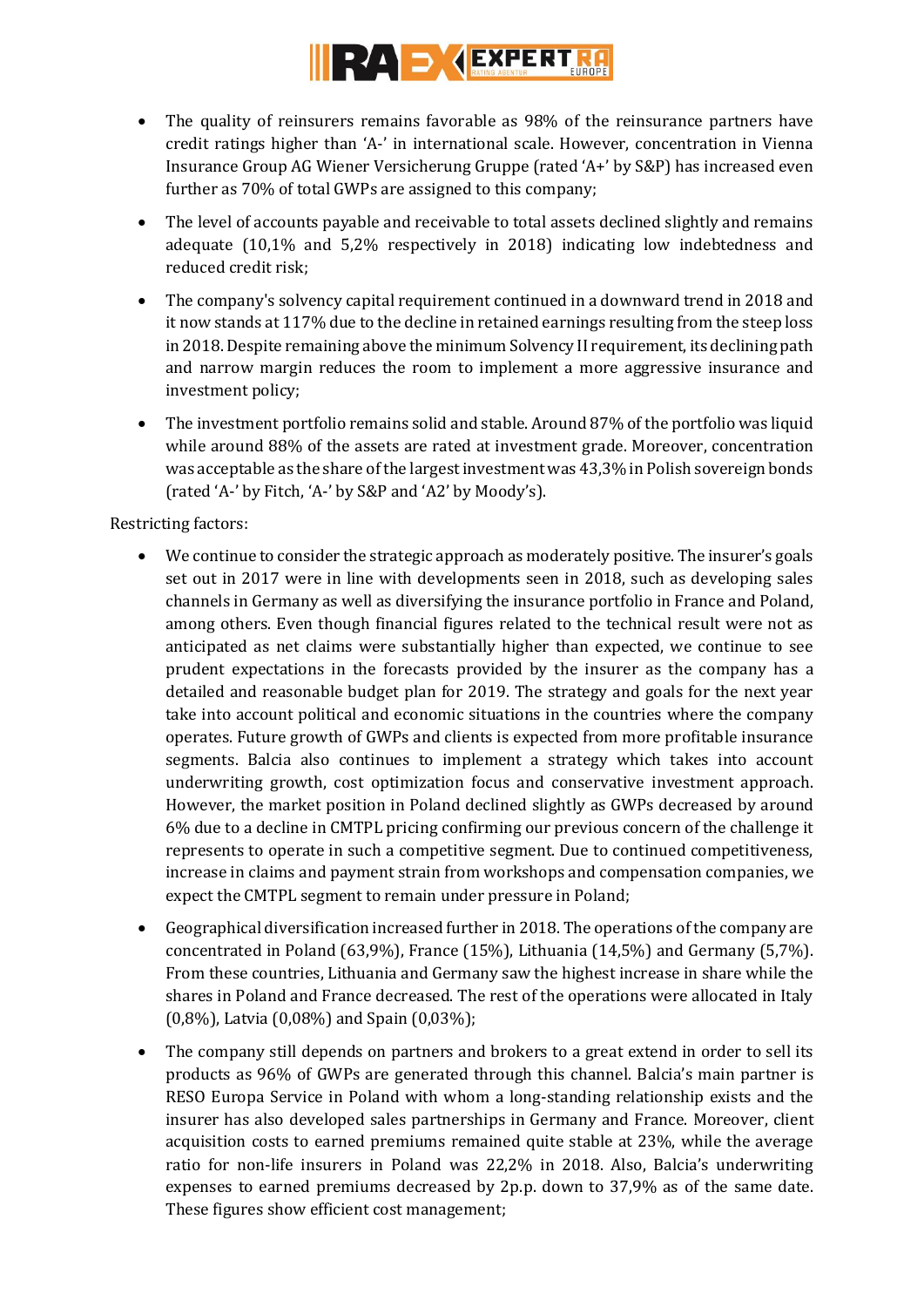

- The quality of reinsurers remains favorable as 98% of the reinsurance partners have credit ratings higher than 'A-' in international scale. However, concentration in Vienna Insurance Group AG Wiener Versicherung Gruppe (rated 'A+' by S&P) has increased even further as 70% of total GWPs are assigned to this company;
- The level of accounts payable and receivable to total assets declined slightly and remains adequate (10,1% and 5,2% respectively in 2018) indicating low indebtedness and reduced credit risk;
- The company's solvency capital requirement continued in a downward trend in 2018 and it now stands at 117% due to the decline in retained earnings resulting from the steep loss in 2018. Despite remaining above the minimum Solvency II requirement, its declining path and narrow margin reduces the room to implement a more aggressive insurance and investment policy;
- The investment portfolio remains solid and stable. Around 87% of the portfolio was liquid while around 88% of the assets are rated at investment grade. Moreover, concentration was acceptable as the share of the largest investment was 43,3% in Polish sovereign bonds (rated 'A-' by Fitch, 'A-' by S&P and 'A2' by Moody's).

Restricting factors:

- We continue to consider the strategic approach as moderately positive. The insurer's goals set out in 2017 were in line with developments seen in 2018, such as developing sales channels in Germany as well as diversifying the insurance portfolio in France and Poland, among others. Even though financial figures related to the technical result were not as anticipated as net claims were substantially higher than expected, we continue to see prudent expectations in the forecasts provided by the insurer as the company has a detailed and reasonable budget plan for 2019. The strategy and goals for the next year take into account political and economic situations in the countries where the company operates. Future growth of GWPs and clients is expected from more profitable insurance segments. Balcia also continues to implement a strategy which takes into account underwriting growth, cost optimization focus and conservative investment approach. However, the market position in Poland declined slightly as GWPs decreased by around 6% due to a decline in CMTPL pricing confirming our previous concern of the challenge it represents to operate in such a competitive segment. Due to continued competitiveness, increase in claims and payment strain from workshops and compensation companies, we expect the CMTPL segment to remain under pressure in Poland;
- Geographical diversification increased further in 2018. The operations of the company are concentrated in Poland (63,9%), France (15%), Lithuania (14,5%) and Germany (5,7%). From these countries, Lithuania and Germany saw the highest increase in share while the shares in Poland and France decreased. The rest of the operations were allocated in Italy (0,8%), Latvia (0,08%) and Spain (0,03%);
- The company still depends on partners and brokers to a great extend in order to sell its products as 96% of GWPs are generated through this channel. Balcia's main partner is RESO Europa Service in Poland with whom a long-standing relationship exists and the insurer has also developed sales partnerships in Germany and France. Moreover, client acquisition costs to earned premiums remained quite stable at 23%, while the average ratio for non-life insurers in Poland was 22,2% in 2018. Also, Balcia's underwriting expenses to earned premiums decreased by 2p.p. down to 37,9% as of the same date. These figures show efficient cost management;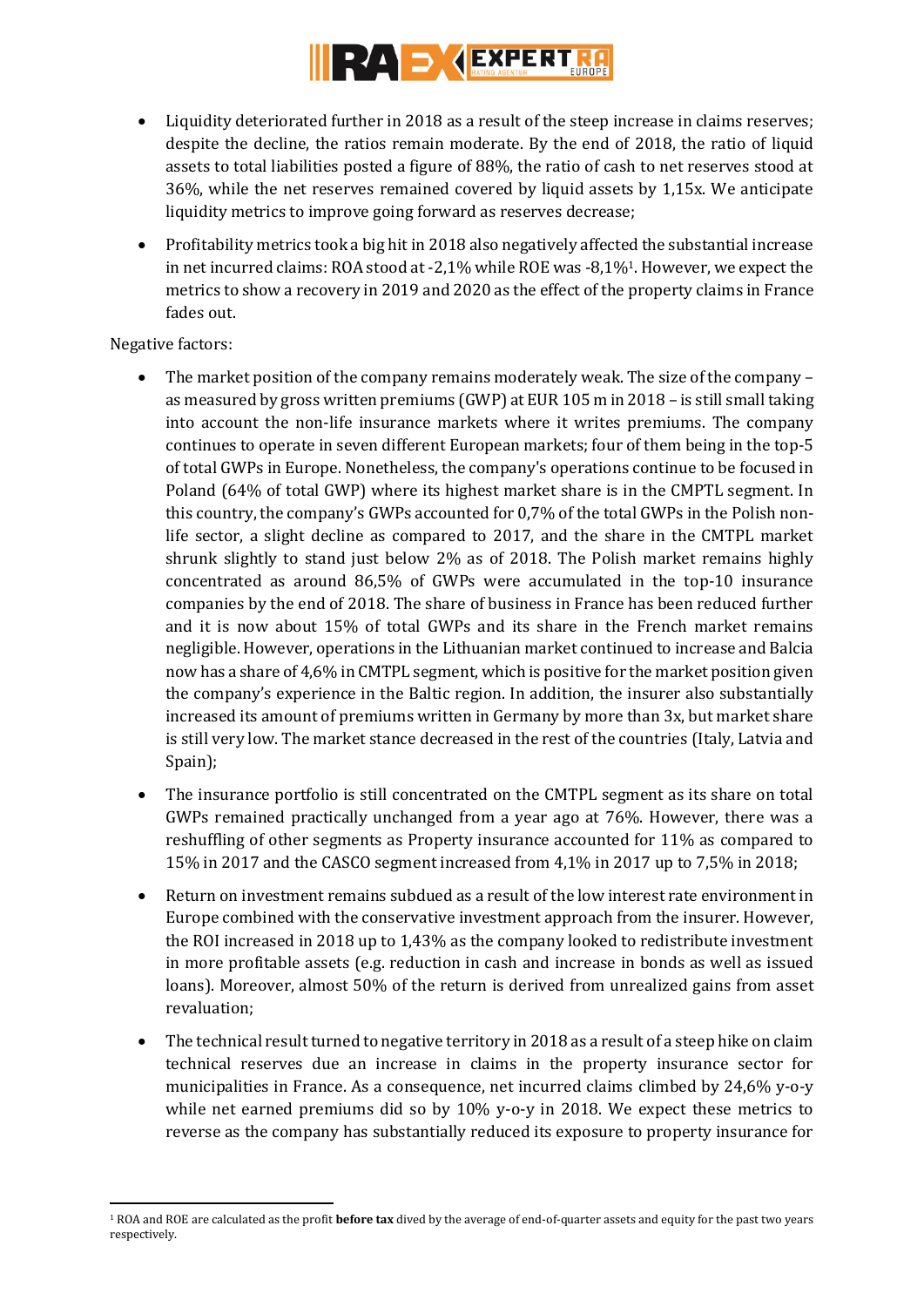# RAD **STATE RT**

- Liquidity deteriorated further in 2018 as a result of the steep increase in claims reserves; despite the decline, the ratios remain moderate. By the end of 2018, the ratio of liquid assets to total liabilities posted a figure of 88%, the ratio of cash to net reserves stood at 36%, while the net reserves remained covered by liquid assets by 1,15x. We anticipate liquidity metrics to improve going forward as reserves decrease;
- Profitability metrics took a big hit in 2018 also negatively affected the substantial increase in net incurred claims: ROA stood at -2,1% while ROE was -8,1%1. However, we expect the metrics to show a recovery in 2019 and 2020 as the effect of the property claims in France fades out.

# Negative factors:

- The market position of the company remains moderately weak. The size of the company as measured by gross written premiums (GWP) at EUR 105 m in 2018 – is still small taking into account the non-life insurance markets where it writes premiums. The company continues to operate in seven different European markets; four of them being in the top-5 of total GWPs in Europe. Nonetheless, the company's operations continue to be focused in Poland (64% of total GWP) where its highest market share is in the CMPTL segment. In this country, the company's GWPs accounted for 0,7% of the total GWPs in the Polish nonlife sector, a slight decline as compared to 2017, and the share in the CMTPL market shrunk slightly to stand just below 2% as of 2018. The Polish market remains highly concentrated as around 86,5% of GWPs were accumulated in the top-10 insurance companies by the end of 2018. The share of business in France has been reduced further and it is now about 15% of total GWPs and its share in the French market remains negligible. However, operations in the Lithuanian market continued to increase and Balcia now has a share of 4,6% in CMTPL segment, which is positive for the market position given the company's experience in the Baltic region. In addition, the insurer also substantially increased its amount of premiums written in Germany by more than 3x, but market share is still very low. The market stance decreased in the rest of the countries (Italy, Latvia and Spain);
- The insurance portfolio is still concentrated on the CMTPL segment as its share on total GWPs remained practically unchanged from a year ago at 76%. However, there was a reshuffling of other segments as Property insurance accounted for 11% as compared to 15% in 2017 and the CASCO segment increased from 4,1% in 2017 up to 7,5% in 2018;
- Return on investment remains subdued as a result of the low interest rate environment in Europe combined with the conservative investment approach from the insurer. However, the ROI increased in 2018 up to 1,43% as the company looked to redistribute investment in more profitable assets (e.g. reduction in cash and increase in bonds as well as issued loans). Moreover, almost 50% of the return is derived from unrealized gains from asset revaluation;
- The technical result turned to negative territory in 2018 as a result of a steep hike on claim technical reserves due an increase in claims in the property insurance sector for municipalities in France. As a consequence, net incurred claims climbed by 24,6% y-o-y while net earned premiums did so by 10% y-o-y in 2018. We expect these metrics to reverse as the company has substantially reduced its exposure to property insurance for

**<sup>.</sup>** <sup>1</sup> ROA and ROE are calculated as the profit **before tax** dived by the average of end-of-quarter assets and equity for the past two years respectively.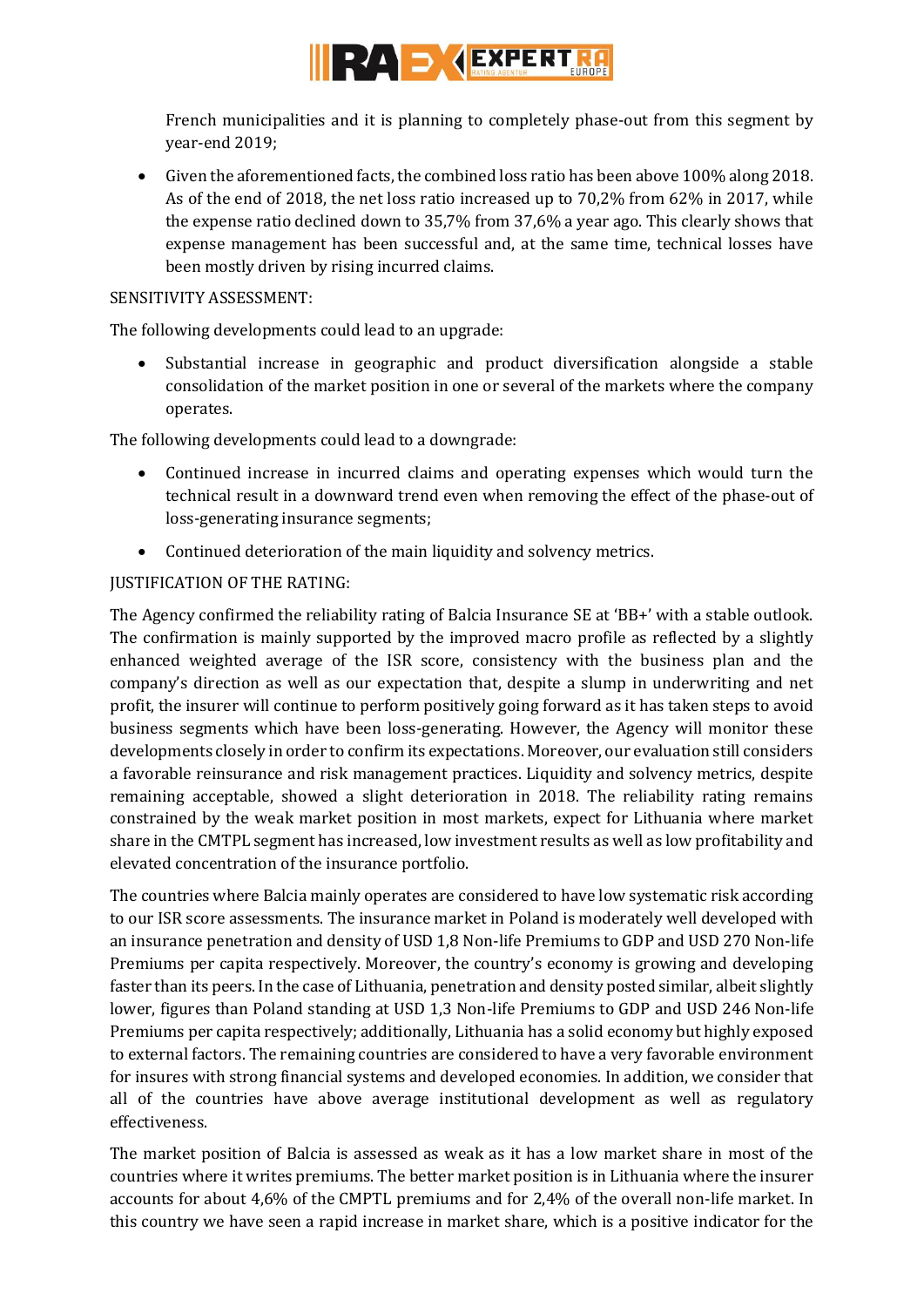

French municipalities and it is planning to completely phase-out from this segment by year-end 2019;

 Given the aforementioned facts, the combined loss ratio has been above 100% along 2018. As of the end of 2018, the net loss ratio increased up to 70,2% from 62% in 2017, while the expense ratio declined down to 35,7% from 37,6% a year ago. This clearly shows that expense management has been successful and, at the same time, technical losses have been mostly driven by rising incurred claims.

# SENSITIVITY ASSESSMENT:

The following developments could lead to an upgrade:

 Substantial increase in geographic and product diversification alongside a stable consolidation of the market position in one or several of the markets where the company operates.

The following developments could lead to a downgrade:

- Continued increase in incurred claims and operating expenses which would turn the technical result in a downward trend even when removing the effect of the phase-out of loss-generating insurance segments;
- Continued deterioration of the main liquidity and solvency metrics.

# JUSTIFICATION OF THE RATING:

The Agency confirmed the reliability rating of Balcia Insurance SE at 'BB+' with a stable outlook. The confirmation is mainly supported by the improved macro profile as reflected by a slightly enhanced weighted average of the ISR score, consistency with the business plan and the company's direction as well as our expectation that, despite a slump in underwriting and net profit, the insurer will continue to perform positively going forward as it has taken steps to avoid business segments which have been loss-generating. However, the Agency will monitor these developments closely in order to confirm its expectations. Moreover, our evaluation still considers a favorable reinsurance and risk management practices. Liquidity and solvency metrics, despite remaining acceptable, showed a slight deterioration in 2018. The reliability rating remains constrained by the weak market position in most markets, expect for Lithuania where market share in the CMTPL segment has increased, low investment results as well as low profitability and elevated concentration of the insurance portfolio.

The countries where Balcia mainly operates are considered to have low systematic risk according to our ISR score assessments. The insurance market in Poland is moderately well developed with an insurance penetration and density of USD 1,8 Non-life Premiums to GDP and USD 270 Non-life Premiums per capita respectively. Moreover, the country's economy is growing and developing faster than its peers. In the case of Lithuania, penetration and density posted similar, albeit slightly lower, figures than Poland standing at USD 1,3 Non-life Premiums to GDP and USD 246 Non-life Premiums per capita respectively; additionally, Lithuania has a solid economy but highly exposed to external factors. The remaining countries are considered to have a very favorable environment for insures with strong financial systems and developed economies. In addition, we consider that all of the countries have above average institutional development as well as regulatory effectiveness.

The market position of Balcia is assessed as weak as it has a low market share in most of the countries where it writes premiums. The better market position is in Lithuania where the insurer accounts for about 4,6% of the CMPTL premiums and for 2,4% of the overall non-life market. In this country we have seen a rapid increase in market share, which is a positive indicator for the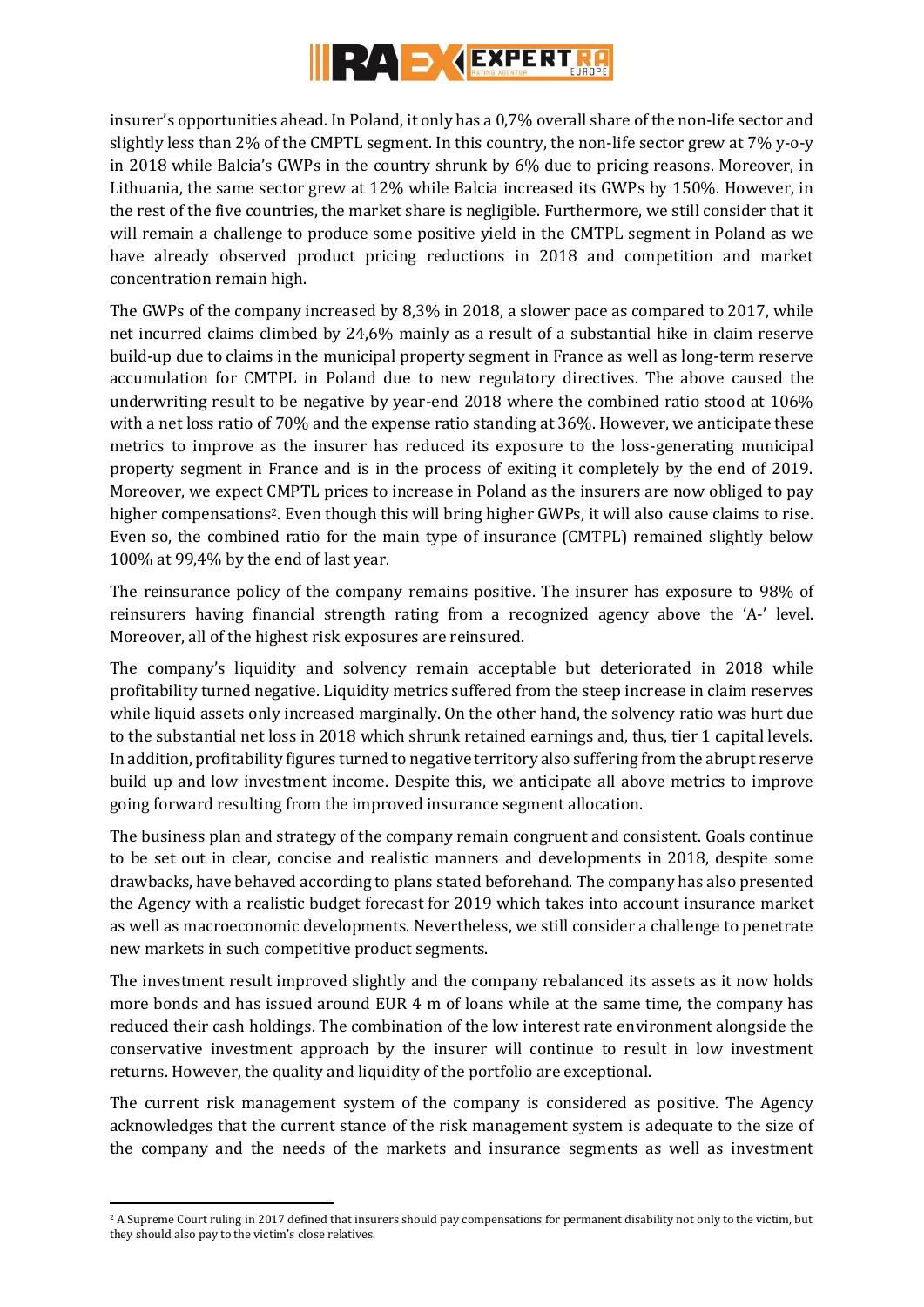

insurer's opportunities ahead. In Poland, it only has a 0,7% overall share of the non-life sector and slightly less than 2% of the CMPTL segment. In this country, the non-life sector grew at 7% y-o-y in 2018 while Balcia's GWPs in the country shrunk by 6% due to pricing reasons. Moreover, in Lithuania, the same sector grew at 12% while Balcia increased its GWPs by 150%. However, in the rest of the five countries, the market share is negligible. Furthermore, we still consider that it will remain a challenge to produce some positive yield in the CMTPL segment in Poland as we have already observed product pricing reductions in 2018 and competition and market concentration remain high.

The GWPs of the company increased by 8,3% in 2018, a slower pace as compared to 2017, while net incurred claims climbed by 24,6% mainly as a result of a substantial hike in claim reserve build-up due to claims in the municipal property segment in France as well as long-term reserve accumulation for CMTPL in Poland due to new regulatory directives. The above caused the underwriting result to be negative by year-end 2018 where the combined ratio stood at 106% with a net loss ratio of 70% and the expense ratio standing at 36%. However, we anticipate these metrics to improve as the insurer has reduced its exposure to the loss-generating municipal property segment in France and is in the process of exiting it completely by the end of 2019. Moreover, we expect CMPTL prices to increase in Poland as the insurers are now obliged to pay higher compensations<sup>2</sup>. Even though this will bring higher GWPs, it will also cause claims to rise. Even so, the combined ratio for the main type of insurance (CMTPL) remained slightly below 100% at 99,4% by the end of last year.

The reinsurance policy of the company remains positive. The insurer has exposure to 98% of reinsurers having financial strength rating from a recognized agency above the 'A-' level. Moreover, all of the highest risk exposures are reinsured.

The company's liquidity and solvency remain acceptable but deteriorated in 2018 while profitability turned negative. Liquidity metrics suffered from the steep increase in claim reserves while liquid assets only increased marginally. On the other hand, the solvency ratio was hurt due to the substantial net loss in 2018 which shrunk retained earnings and, thus, tier 1 capital levels. In addition, profitability figures turned to negative territory also suffering from the abrupt reserve build up and low investment income. Despite this, we anticipate all above metrics to improve going forward resulting from the improved insurance segment allocation.

The business plan and strategy of the company remain congruent and consistent. Goals continue to be set out in clear, concise and realistic manners and developments in 2018, despite some drawbacks, have behaved according to plans stated beforehand. The company has also presented the Agency with a realistic budget forecast for 2019 which takes into account insurance market as well as macroeconomic developments. Nevertheless, we still consider a challenge to penetrate new markets in such competitive product segments.

The investment result improved slightly and the company rebalanced its assets as it now holds more bonds and has issued around EUR 4 m of loans while at the same time, the company has reduced their cash holdings. The combination of the low interest rate environment alongside the conservative investment approach by the insurer will continue to result in low investment returns. However, the quality and liquidity of the portfolio are exceptional.

The current risk management system of the company is considered as positive. The Agency acknowledges that the current stance of the risk management system is adequate to the size of the company and the needs of the markets and insurance segments as well as investment

**<sup>.</sup>** <sup>2</sup> A Supreme Court ruling in 2017 defined that insurers should pay compensations for permanent disability not only to the victim, but they should also pay to the victim's close relatives.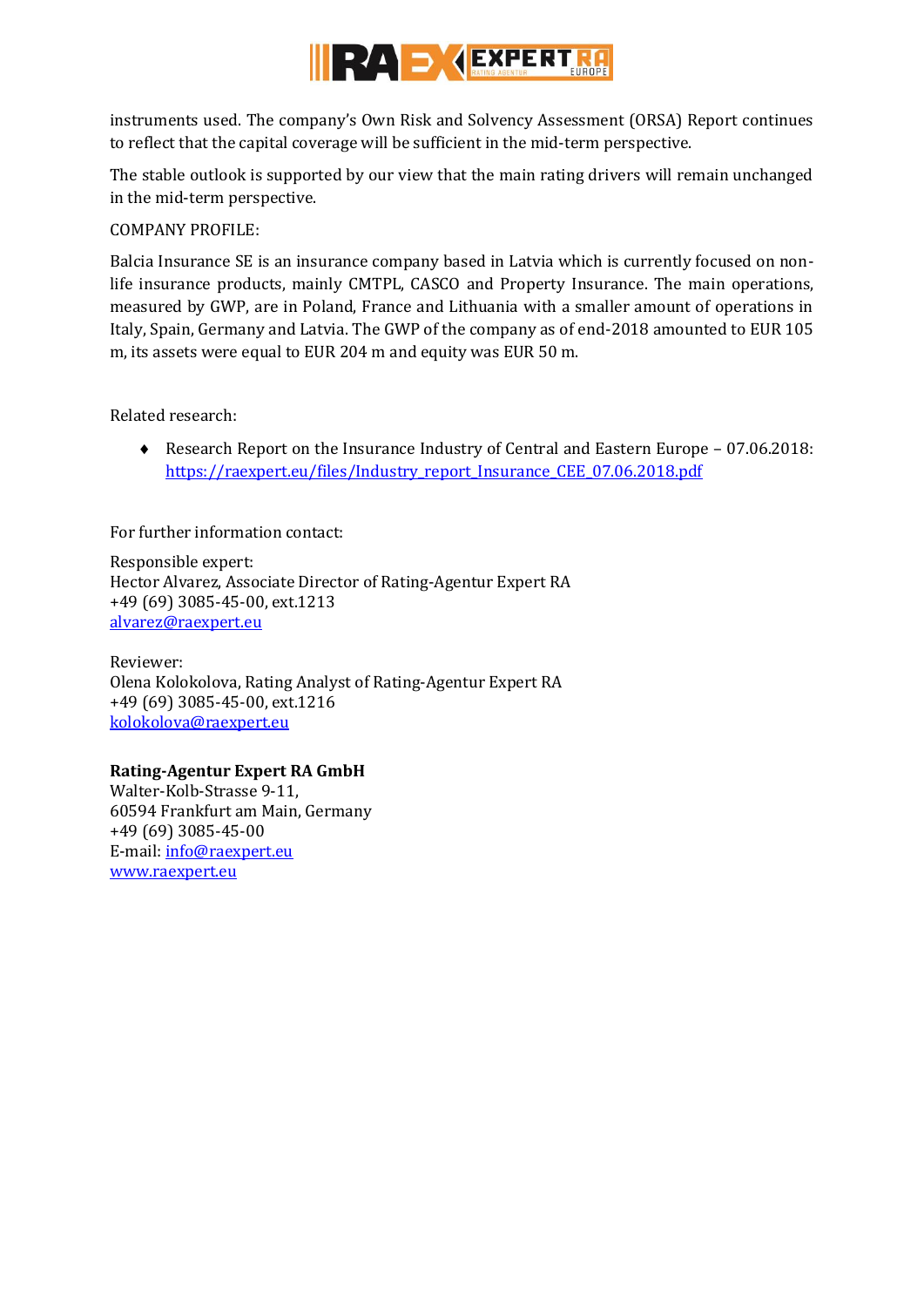

instruments used. The company's Own Risk and Solvency Assessment (ORSA) Report continues to reflect that the capital coverage will be sufficient in the mid-term perspective.

The stable outlook is supported by our view that the main rating drivers will remain unchanged in the mid-term perspective.

COMPANY PROFILE:

Balcia Insurance SE is an insurance company based in Latvia which is currently focused on nonlife insurance products, mainly CMTPL, CASCO and Property Insurance. The main operations, measured by GWP, are in Poland, France and Lithuania with a smaller amount of operations in Italy, Spain, Germany and Latvia. The GWP of the company as of end-2018 amounted to EUR 105 m, its assets were equal to EUR 204 m and equity was EUR 50 m.

Related research:

 Research Report on the Insurance Industry of Central and Eastern Europe – 07.06.2018: [https://raexpert.eu/files/Industry\\_report\\_Insurance\\_CEE\\_07.06.2018.pdf](https://raexpert.eu/files/Industry_report_Insurance_CEE_07.06.2018.pdf)

For further information contact:

Responsible expert: Hector Alvarez, Associate Director of Rating-Agentur Expert RA +49 (69) 3085-45-00, ext.1213 [alvarez@raexpert.eu](mailto:alvarez@raexpert.eu)

Reviewer: Olena Kolokolova, Rating Analyst of Rating-Agentur Expert RA +49 (69) 3085-45-00, ext.1216 [kolokolova@raexpert.eu](mailto:kolokolova@raexpert.eu)

# **Rating-Agentur Expert RA GmbH**

Walter-Kolb-Strasse 9-11, 60594 Frankfurt am Main, Germany +49 (69) 3085-45-00 E-mail[: info@raexpert.eu](mailto:info@raexpert.eu) [www.raexpert.eu](http://raexpert.eu/)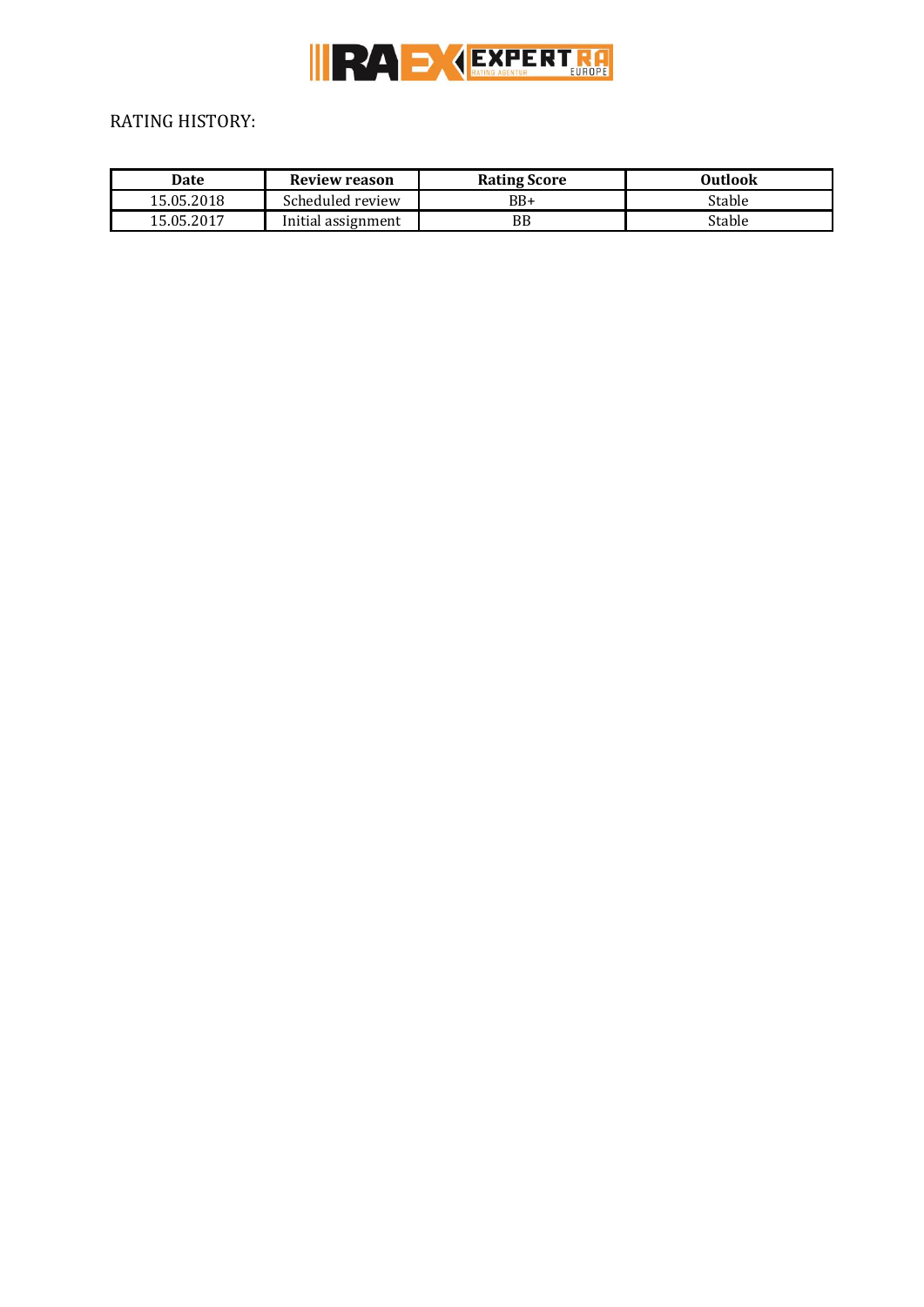

# RATING HISTORY:

| Date       | <b>Review reason</b> | <b>Rating Score</b> | Outlook |
|------------|----------------------|---------------------|---------|
| 15.05.2018 | Scheduled review     | $BB+$               | Stable  |
| 15.05.2017 | Initial assignment   | BB                  | Stable  |